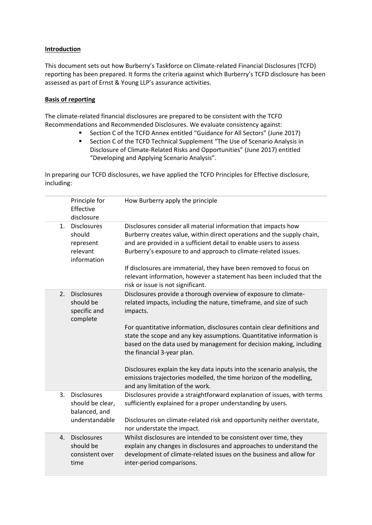## **Introduction**

This document sets out how Burberry's Taskforce on Climate-related Financial Disclosures (TCFD) reporting has been prepared. It forms the criteria against which Burberry's TCFD disclosure has been assessed as part of Ernst & Young LLP's assurance activities.

## **Basis of reporting**

The climate-related financial disclosures are prepared to be consistent with the TCFD Recommendations and Recommended Disclosures. We evaluate consistency against:

- Section C of the TCFD Annex entitled "Guidance for All Sectors" (June 2017)
- Section C of the TCFD Technical Supplement "The Use of Scenario Analysis in Disclosure of Climate-Related Risks and Opportunities" (June 2017) entitled "Developing and Applying Scenario Analysis".

In preparing our TCFD disclosures, we have applied the TCFD Principles for Effective disclosure, including:

|         | Principle for<br>Effective<br>disclosure                             | How Burberry apply the principle                                                                                                                                                                                                                                                |
|---------|----------------------------------------------------------------------|---------------------------------------------------------------------------------------------------------------------------------------------------------------------------------------------------------------------------------------------------------------------------------|
| $1_{-}$ | <b>Disclosures</b><br>should<br>represent<br>relevant<br>information | Disclosures consider all material information that impacts how<br>Burberry creates value, within direct operations and the supply chain,<br>and are provided in a sufficient detail to enable users to assess<br>Burberry's exposure to and approach to climate-related issues. |
|         |                                                                      | If disclosures are immaterial, they have been removed to focus on<br>relevant information, however a statement has been included that the<br>risk or issue is not significant.                                                                                                  |
| 2.      | <b>Disclosures</b><br>should be<br>specific and<br>complete          | Disclosures provide a thorough overview of exposure to climate-<br>related impacts, including the nature, timeframe, and size of such<br>impacts.                                                                                                                               |
|         |                                                                      | For quantitative information, disclosures contain clear definitions and<br>state the scope and any key assumptions. Quantitative information is<br>based on the data used by management for decision making, including<br>the financial 3-year plan.                            |
|         |                                                                      | Disclosures explain the key data inputs into the scenario analysis, the<br>emissions trajectories modelled, the time horizon of the modelling,<br>and any limitation of the work.                                                                                               |
| 3.      | <b>Disclosures</b><br>should be clear,<br>balanced, and              | Disclosures provide a straightforward explanation of issues, with terms<br>sufficiently explained for a proper understanding by users.                                                                                                                                          |
|         | understandable                                                       | Disclosures on climate-related risk and opportunity neither overstate,<br>nor understate the impact.                                                                                                                                                                            |
| 4.      | <b>Disclosures</b><br>should be<br>consistent over<br>time           | Whilst disclosures are intended to be consistent over time, they<br>explain any changes in disclosures and approaches to understand the<br>development of climate-related issues on the business and allow for<br>inter-period comparisons.                                     |